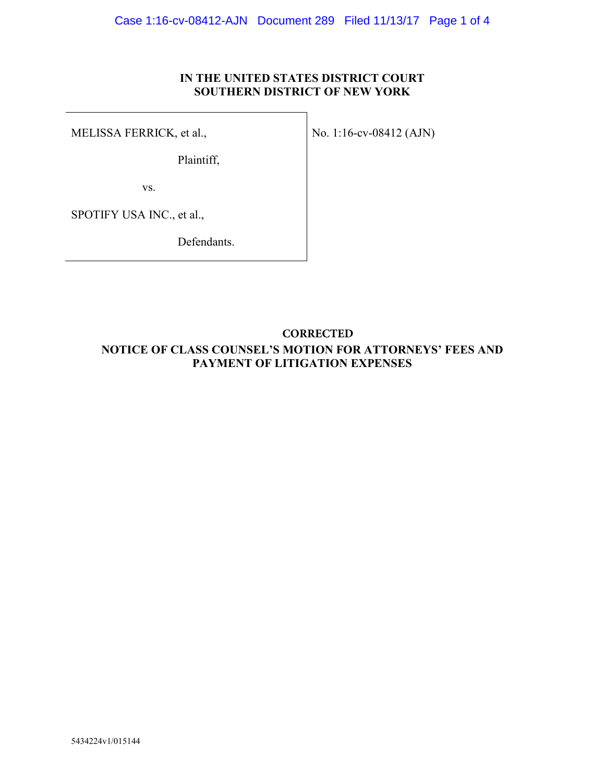## **IN THE UNITED STATES DISTRICT COURT SOUTHERN DISTRICT OF NEW YORK**

No. 1:16-cv-08412 (AJN)

MELISSA FERRICK, et al.,

Plaintiff,

vs.

SPOTIFY USA INC., et al.,

Defendants.

## **NOTICE OF CLASS COUNSEL'S MOTION FOR ATTORNEYS' FEES AND PAYMENT OF LITIGATION EXPENSES CORRECTED**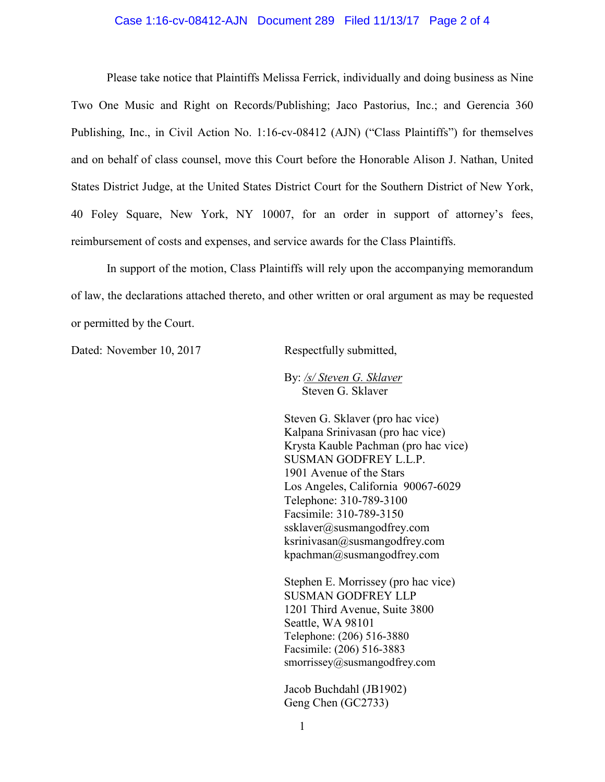## Case 1:16-cv-08412-AJN Document 289 Filed 11/13/17 Page 2 of 4

Please take notice that Plaintiffs Melissa Ferrick, individually and doing business as Nine Two One Music and Right on Records/Publishing; Jaco Pastorius, Inc.; and Gerencia 360 Publishing, Inc., in Civil Action No. 1:16-cv-08412 (AJN) ("Class Plaintiffs") for themselves and on behalf of class counsel, move this Court before the Honorable Alison J. Nathan, United States District Judge, at the United States District Court for the Southern District of New York, 40 Foley Square, New York, NY 10007, for an order in support of attorney's fees, reimbursement of costs and expenses, and service awards for the Class Plaintiffs.

In support of the motion, Class Plaintiffs will rely upon the accompanying memorandum of law, the declarations attached thereto, and other written or oral argument as may be requested or permitted by the Court.

Dated: November 10, 2017 Respectfully submitted,

By: */s/ Steven G. Sklaver* Steven G. Sklaver

Steven G. Sklaver (pro hac vice) Kalpana Srinivasan (pro hac vice) Krysta Kauble Pachman (pro hac vice) SUSMAN GODFREY L.L.P. 1901 Avenue of the Stars Los Angeles, California 90067-6029 Telephone: 310-789-3100 Facsimile: 310-789-3150 ssklaver@susmangodfrey.com  $ksrinivasan@susmangodfrey.com$ kpachman@susmangodfrey.com

Stephen E. Morrissey (pro hac vice) SUSMAN GODFREY LLP 1201 Third Avenue, Suite 3800 Seattle, WA 98101 Telephone: (206) 516-3880 Facsimile: (206) 516-3883 smorrissey@susmangodfrey.com

Jacob Buchdahl (JB1902) Geng Chen (GC2733)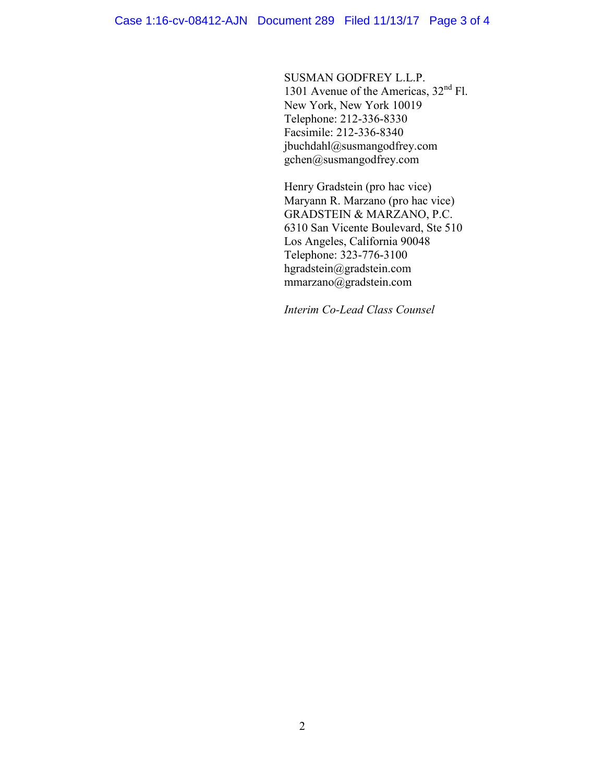SUSMAN GODFREY L.L.P. 1301 Avenue of the Americas, 32<sup>nd</sup> Fl. New York, New York 10019 Telephone: 212-336-8330 Facsimile: 212-336-8340 jbuchdahl@susmangodfrey.com  $g$ chen@susmangodfrey.com

Henry Gradstein (pro hac vice) Maryann R. Marzano (pro hac vice) GRADSTEIN & MARZANO, P.C. 6310 San Vicente Boulevard, Ste 510 Los Angeles, California 90048 Telephone: 323-776-3100 hgradstein@gradstein.com mmarzano@gradstein.com

*Interim Co-Lead Class Counsel*